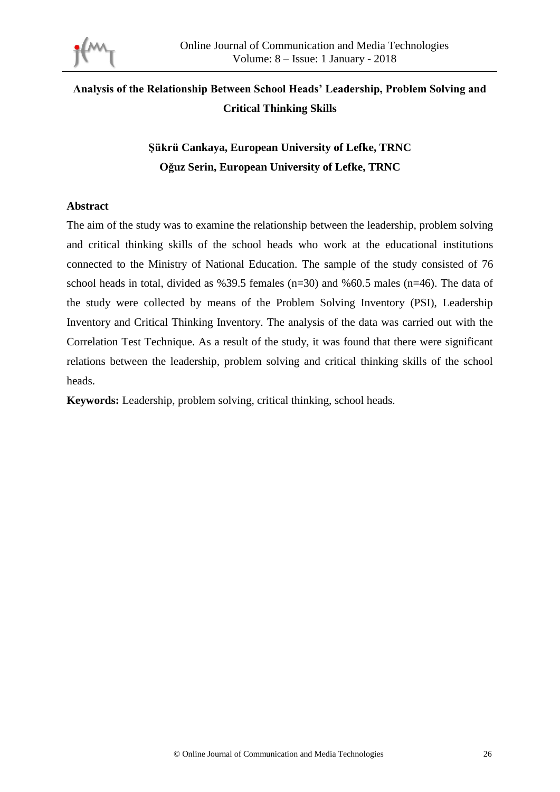

# **Analysis of the Relationship Between School Heads' Leadership, Problem Solving and Critical Thinking Skills**

# **Şükrü Cankaya, European University of Lefke, TRNC Oğuz Serin, European University of Lefke, TRNC**

# **Abstract**

The aim of the study was to examine the relationship between the leadership, problem solving and critical thinking skills of the school heads who work at the educational institutions connected to the Ministry of National Education. The sample of the study consisted of 76 school heads in total, divided as %39.5 females ( $n=30$ ) and %60.5 males ( $n=46$ ). The data of the study were collected by means of the Problem Solving Inventory (PSI), Leadership Inventory and Critical Thinking Inventory. The analysis of the data was carried out with the Correlation Test Technique. As a result of the study, it was found that there were significant relations between the leadership, problem solving and critical thinking skills of the school heads.

**Keywords:** Leadership, problem solving, critical thinking, school heads.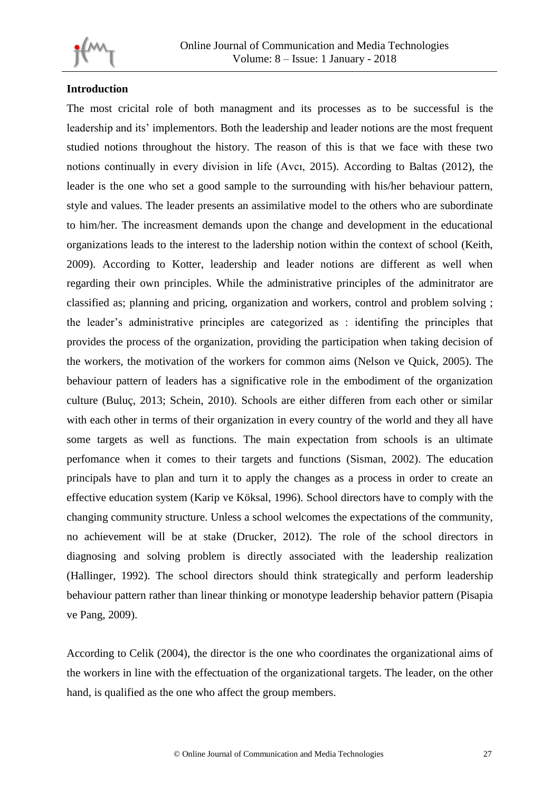

# **Introduction**

The most cricital role of both managment and its processes as to be successful is the leadership and its' implementors. Both the leadership and leader notions are the most frequent studied notions throughout the history. The reason of this is that we face with these two notions continually in every division in life (Avcı, 2015). According to Baltas (2012), the leader is the one who set a good sample to the surrounding with his/her behaviour pattern, style and values. The leader presents an assimilative model to the others who are subordinate to him/her. The increasment demands upon the change and development in the educational organizations leads to the interest to the ladership notion within the context of school (Keith, 2009). According to Kotter, leadership and leader notions are different as well when regarding their own principles. While the administrative principles of the adminitrator are classified as; planning and pricing, organization and workers, control and problem solving ; the leader's administrative principles are categorized as : identifing the principles that provides the process of the organization, providing the participation when taking decision of the workers, the motivation of the workers for common aims (Nelson ve Quick, 2005). The behaviour pattern of leaders has a significative role in the embodiment of the organization culture (Buluç, 2013; Schein, 2010). Schools are either differen from each other or similar with each other in terms of their organization in every country of the world and they all have some targets as well as functions. The main expectation from schools is an ultimate perfomance when it comes to their targets and functions (Sisman, 2002). The education principals have to plan and turn it to apply the changes as a process in order to create an effective education system (Karip ve Köksal, 1996). School directors have to comply with the changing community structure. Unless a school welcomes the expectations of the community, no achievement will be at stake (Drucker, 2012). The role of the school directors in diagnosing and solving problem is directly associated with the leadership realization (Hallinger, 1992). The school directors should think strategically and perform leadership behaviour pattern rather than linear thinking or monotype leadership behavior pattern (Pisapia ve Pang, 2009).

According to Celik (2004), the director is the one who coordinates the organizational aims of the workers in line with the effectuation of the organizational targets. The leader, on the other hand, is qualified as the one who affect the group members.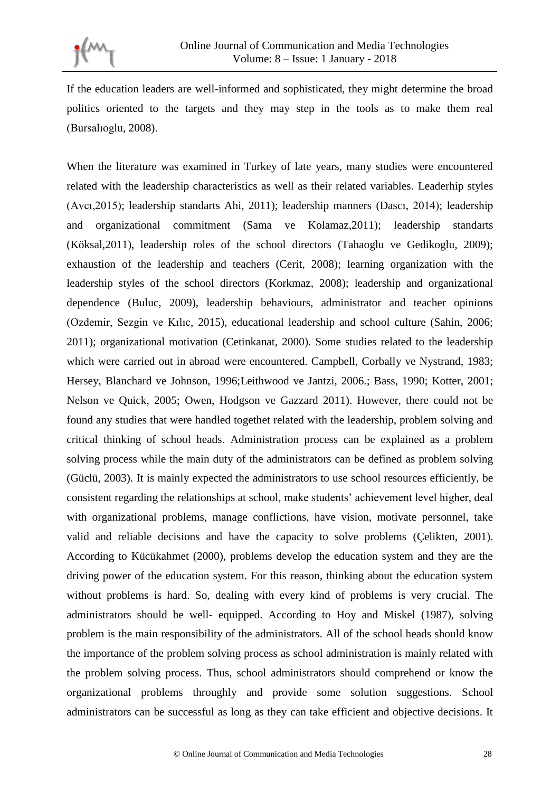If the education leaders are well-informed and sophisticated, they might determine the broad politics oriented to the targets and they may step in the tools as to make them real (Bursalıoglu, 2008).

When the literature was examined in Turkey of late years, many studies were encountered related with the leadership characteristics as well as their related variables. Leaderhip styles (Avcı,2015); leadership standarts Ahi, 2011); leadership manners (Dascı, 2014); leadership and organizational commitment (Sama ve Kolamaz,2011); leadership standarts (Köksal,2011), leadership roles of the school directors (Tahaoglu ve Gedikoglu, 2009); exhaustion of the leadership and teachers (Cerit, 2008); learning organization with the leadership styles of the school directors (Korkmaz, 2008); leadership and organizational dependence (Buluc, 2009), leadership behaviours, administrator and teacher opinions (Ozdemir, Sezgin ve Kılıc, 2015), educational leadership and school culture (Sahin, 2006; 2011); organizational motivation (Cetinkanat, 2000). Some studies related to the leadership which were carried out in abroad were encountered. Campbell, Corbally ve Nystrand, 1983; Hersey, Blanchard ve Johnson, 1996;Leithwood ve Jantzi, 2006.; Bass, 1990; Kotter, 2001; Nelson ve Quick, 2005; Owen, Hodgson ve Gazzard 2011). However, there could not be found any studies that were handled togethet related with the leadership, problem solving and critical thinking of school heads. Administration process can be explained as a problem solving process while the main duty of the administrators can be defined as problem solving (Güclü, 2003). It is mainly expected the administrators to use school resources efficiently, be consistent regarding the relationships at school, make students' achievement level higher, deal with organizational problems, manage conflictions, have vision, motivate personnel, take valid and reliable decisions and have the capacity to solve problems (Çelikten, 2001). According to Kücükahmet (2000), problems develop the education system and they are the driving power of the education system. For this reason, thinking about the education system without problems is hard. So, dealing with every kind of problems is very crucial. The administrators should be well- equipped. According to Hoy and Miskel (1987), solving problem is the main responsibility of the administrators. All of the school heads should know the importance of the problem solving process as school administration is mainly related with the problem solving process. Thus, school administrators should comprehend or know the organizational problems throughly and provide some solution suggestions. School administrators can be successful as long as they can take efficient and objective decisions. It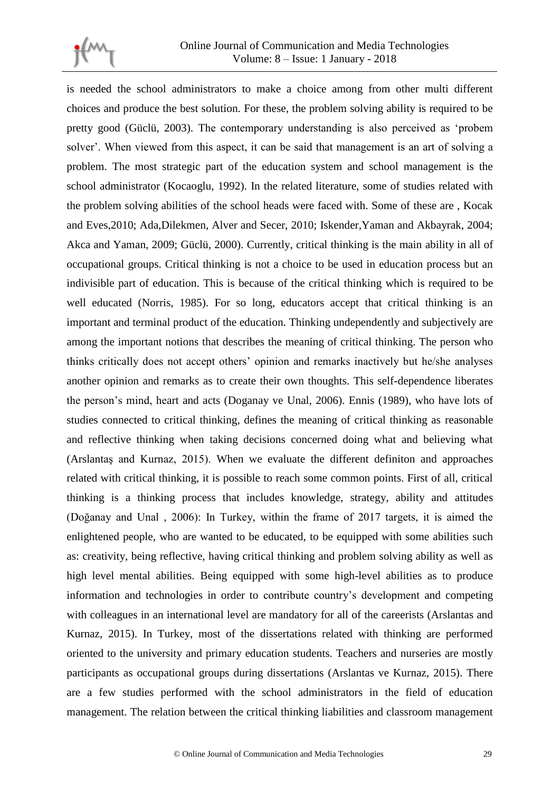

is needed the school administrators to make a choice among from other multi different choices and produce the best solution. For these, the problem solving ability is required to be pretty good (Güclü, 2003). The contemporary understanding is also perceived as 'probem solver'. When viewed from this aspect, it can be said that management is an art of solving a problem. The most strategic part of the education system and school management is the school administrator (Kocaoglu, 1992). In the related literature, some of studies related with the problem solving abilities of the school heads were faced with. Some of these are , Kocak and Eves,2010; Ada,Dilekmen, Alver and Secer, 2010; Iskender,Yaman and Akbayrak, 2004; Akca and Yaman, 2009; Güclü, 2000). Currently, critical thinking is the main ability in all of occupational groups. Critical thinking is not a choice to be used in education process but an indivisible part of education. This is because of the critical thinking which is required to be well educated (Norris, 1985). For so long, educators accept that critical thinking is an important and terminal product of the education. Thinking undependently and subjectively are among the important notions that describes the meaning of critical thinking. The person who thinks critically does not accept others' opinion and remarks inactively but he/she analyses another opinion and remarks as to create their own thoughts. This self-dependence liberates the person's mind, heart and acts (Doganay ve Unal, 2006). Ennis (1989), who have lots of studies connected to critical thinking, defines the meaning of critical thinking as reasonable and reflective thinking when taking decisions concerned doing what and believing what (Arslantaş and Kurnaz, 2015). When we evaluate the different definiton and approaches related with critical thinking, it is possible to reach some common points. First of all, critical thinking is a thinking process that includes knowledge, strategy, ability and attitudes (Doğanay and Unal , 2006): In Turkey, within the frame of 2017 targets, it is aimed the enlightened people, who are wanted to be educated, to be equipped with some abilities such as: creativity, being reflective, having critical thinking and problem solving ability as well as high level mental abilities. Being equipped with some high-level abilities as to produce information and technologies in order to contribute country's development and competing with colleagues in an international level are mandatory for all of the careerists (Arslantas and Kurnaz, 2015). In Turkey, most of the dissertations related with thinking are performed oriented to the university and primary education students. Teachers and nurseries are mostly participants as occupational groups during dissertations (Arslantas ve Kurnaz, 2015). There are a few studies performed with the school administrators in the field of education management. The relation between the critical thinking liabilities and classroom management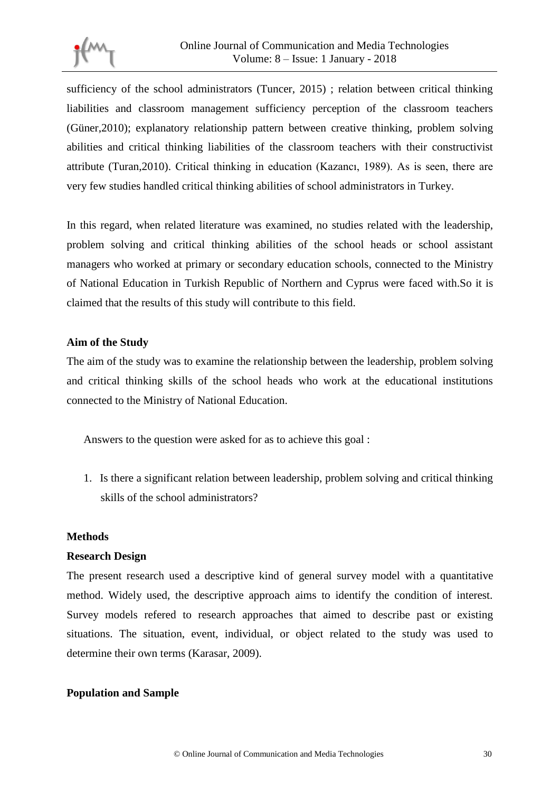

sufficiency of the school administrators (Tuncer, 2015) ; relation between critical thinking liabilities and classroom management sufficiency perception of the classroom teachers (Güner,2010); explanatory relationship pattern between creative thinking, problem solving abilities and critical thinking liabilities of the classroom teachers with their constructivist attribute (Turan,2010). Critical thinking in education (Kazancı, 1989). As is seen, there are very few studies handled critical thinking abilities of school administrators in Turkey.

In this regard, when related literature was examined, no studies related with the leadership, problem solving and critical thinking abilities of the school heads or school assistant managers who worked at primary or secondary education schools, connected to the Ministry of National Education in Turkish Republic of Northern and Cyprus were faced with.So it is claimed that the results of this study will contribute to this field.

# **Aim of the Study**

The aim of the study was to examine the relationship between the leadership, problem solving and critical thinking skills of the school heads who work at the educational institutions connected to the Ministry of National Education.

Answers to the question were asked for as to achieve this goal :

1. Is there a significant relation between leadership, problem solving and critical thinking skills of the school administrators?

#### **Methods**

#### **Research Design**

The present research used a descriptive kind of general survey model with a quantitative method. Widely used, the descriptive approach aims to identify the condition of interest. Survey models refered to research approaches that aimed to describe past or existing situations. The situation, event, individual, or object related to the study was used to determine their own terms (Karasar, 2009).

# **Population and Sample**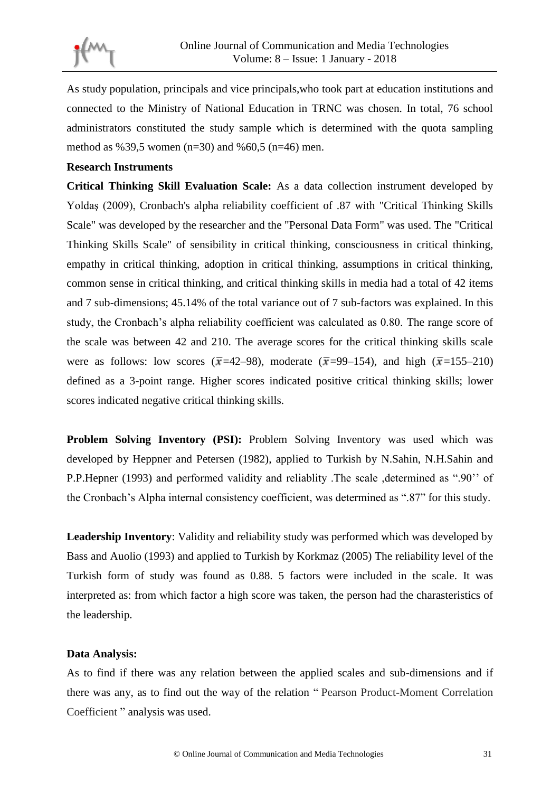

As study population, principals and vice principals,who took part at education institutions and connected to the Ministry of National Education in TRNC was chosen. In total, 76 school administrators constituted the study sample which is determined with the quota sampling method as %39,5 women (n=30) and %60,5 (n=46) men.

#### **Research Instruments**

**Critical Thinking Skill Evaluation Scale:** As a data collection instrument developed by Yoldaş (2009), Cronbach's alpha reliability coefficient of .87 with "Critical Thinking Skills Scale" was developed by the researcher and the "Personal Data Form" was used. The "Critical Thinking Skills Scale" of sensibility in critical thinking, consciousness in critical thinking, empathy in critical thinking, adoption in critical thinking, assumptions in critical thinking, common sense in critical thinking, and critical thinking skills in media had a total of 42 items and 7 sub-dimensions; 45.14% of the total variance out of 7 sub-factors was explained. In this study, the Cronbach's alpha reliability coefficient was calculated as 0.80. The range score of the scale was between 42 and 210. The average scores for the critical thinking skills scale were as follows: low scores ( $\bar{x}$ =42–98), moderate ( $\bar{x}$ =99–154), and high ( $\bar{x}$ =155–210) defined as a 3-point range. Higher scores indicated positive critical thinking skills; lower scores indicated negative critical thinking skills.

**Problem Solving Inventory (PSI):** Problem Solving Inventory was used which was developed by Heppner and Petersen (1982), applied to Turkish by N.Sahin, N.H.Sahin and P.P.Hepner (1993) and performed validity and reliablity .The scale ,determined as ".90'' of the Cronbach's Alpha internal consistency coefficient, was determined as ".87" for this study.

**Leadership Inventory**: Validity and reliability study was performed which was developed by Bass and Auolio (1993) and applied to Turkish by Korkmaz (2005) The reliability level of the Turkish form of study was found as 0.88. 5 factors were included in the scale. It was interpreted as: from which factor a high score was taken, the person had the charasteristics of the leadership.

#### **Data Analysis:**

As to find if there was any relation between the applied scales and sub-dimensions and if there was any, as to find out the way of the relation " Pearson Product-Moment Correlation Coefficient " analysis was used.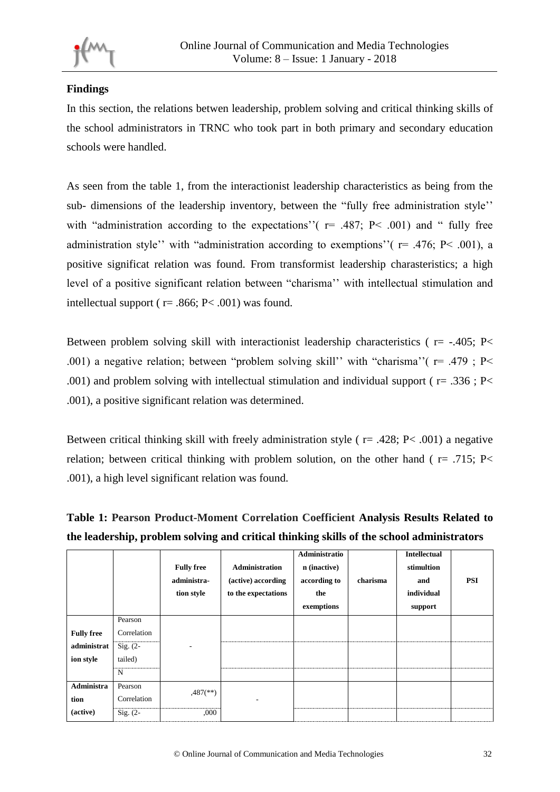

# **Findings**

In this section, the relations betwen leadership, problem solving and critical thinking skills of the school administrators in TRNC who took part in both primary and secondary education schools were handled.

As seen from the table 1, from the interactionist leadership characteristics as being from the sub- dimensions of the leadership inventory, between the "fully free administration style'' with "administration according to the expectations"  $(r= .487; P< .001)$  and " fully free administration style'' with "administration according to exemptions"  $r = .476$ ; P< .001), a positive significat relation was found. From transformist leadership charasteristics; a high level of a positive significant relation between "charisma'' with intellectual stimulation and intellectual support ( $r = .866$ ; P< .001) was found.

Between problem solving skill with interactionist leadership characteristics ( $r = -.405$ ; P< .001) a negative relation; between "problem solving skill" with "charisma"  $(r = .479 ; P <$ .001) and problem solving with intellectual stimulation and individual support ( $r = .336$ ; P< .001), a positive significant relation was determined.

Between critical thinking skill with freely administration style ( $r = .428$ ; P< .001) a negative relation; between critical thinking with problem solution, on the other hand ( $r = .715$ ; P< .001), a high level significant relation was found.

**Table 1: Pearson Product-Moment Correlation Coefficient Analysis Results Related to the leadership, problem solving and critical thinking skills of the school administrators** 

|                                               |                                                      | <b>Fully free</b><br>administra-<br>tion style | <b>Administration</b><br>(active) according<br>to the expectations | Administratio<br>n (inactive)<br>according to<br>the<br>exemptions | charisma | <b>Intellectual</b><br>stimultion<br>and<br>individual<br>support | <b>PSI</b> |
|-----------------------------------------------|------------------------------------------------------|------------------------------------------------|--------------------------------------------------------------------|--------------------------------------------------------------------|----------|-------------------------------------------------------------------|------------|
| <b>Fully free</b><br>administrat<br>ion style | Pearson<br>Correlation<br>$Sig. (2-$<br>tailed)<br>N |                                                |                                                                    |                                                                    |          |                                                                   |            |
| <b>Administra</b><br>tion                     | Pearson<br>Correlation                               | $,487$ <sup>(**)</sup> )                       | ۰                                                                  |                                                                    |          |                                                                   |            |
| (active)                                      | $Sig. (2-$                                           | ,000                                           |                                                                    |                                                                    |          |                                                                   |            |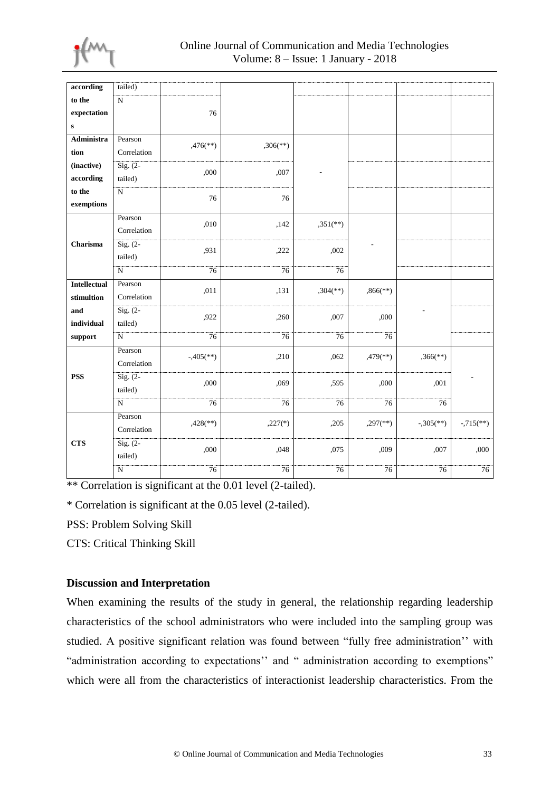

| according           | tailed)                |                         |                          |                          |                          |                          |                          |
|---------------------|------------------------|-------------------------|--------------------------|--------------------------|--------------------------|--------------------------|--------------------------|
| to the              | $\overline{N}$         |                         |                          |                          |                          |                          |                          |
| expectation         |                        | 76                      |                          |                          |                          |                          |                          |
| ${\bf S}$           |                        |                         |                          |                          |                          |                          |                          |
| <b>Administra</b>   | Pearson                |                         |                          |                          |                          |                          |                          |
| tion                | Correlation            | $,476$ <sup>**</sup> )  | $,306$ <sup>(**)</sup> ) |                          |                          |                          |                          |
| (inactive)          | $\overline{Sig. (2-)}$ | ,000                    | ,007                     |                          |                          |                          |                          |
| according           | tailed)                |                         |                          |                          |                          |                          |                          |
| to the              | $\overline{\text{N}}$  | 76                      | 76                       |                          |                          |                          |                          |
| exemptions          |                        |                         |                          |                          |                          |                          |                          |
|                     | Pearson                |                         | ,142                     | $,351$ <sup>(**)</sup>   |                          |                          |                          |
| Charisma            | Correlation            | ,010                    |                          |                          |                          |                          |                          |
|                     | $Sig. (2-$             | ,931                    |                          | ,002                     | L,                       |                          |                          |
|                     | tailed)                |                         | ,222                     |                          |                          |                          |                          |
|                     | $\overline{N}$         | 76                      | 76                       | 76                       |                          |                          |                          |
| <b>Intellectual</b> | Pearson                | ,011                    | ,131                     | $,304$ <sup>(**)</sup> ) | $,866$ <sup>(**)</sup> ) |                          |                          |
| stimultion          | Correlation            |                         |                          |                          |                          |                          |                          |
| and                 | $\overline{Sig. (2-)}$ | ,922                    | ,260                     | ,007                     | ,000                     | Ĭ.                       |                          |
| individual          | tailed)                |                         |                          |                          |                          |                          |                          |
| support             | $\overline{N}$         | 76                      | 76                       | 76                       | 76                       |                          |                          |
|                     | Pearson                | $-.405$ <sup>**</sup> ) | ,210                     | ,062                     | $,479$ <sup>**</sup> )   | $,366$ <sup>(**)</sup> ) |                          |
| <b>PSS</b>          | Correlation            |                         |                          |                          |                          |                          |                          |
|                     | $\overline{Sig. (2-)}$ | ,000                    | ,069                     | ,595                     | ,000                     | ,001                     |                          |
|                     | tailed)                |                         |                          |                          |                          |                          |                          |
|                     | ${\bf N}$              | 76                      | 76                       | 76                       | 76                       | 76                       |                          |
| <b>CTS</b>          | Pearson                | $,428$ <sup>**</sup> )  | $,227(*)$                | ,205                     | $,297$ <sup>**</sup> )   | $-.305$ <sup>**</sup> )  | $-0.715$ <sup>**</sup> ) |
|                     | Correlation            |                         |                          |                          |                          |                          |                          |
|                     | $\overline{Sig. (2-)}$ | ,000                    | ,048                     | ,075                     | ,009                     | ,007                     | ,000                     |
|                     | tailed)                |                         |                          |                          |                          |                          |                          |
|                     | ${\bf N}$              | 76                      | $76\,$                   | 76                       | 76                       | 76                       | 76                       |
|                     |                        |                         |                          |                          |                          |                          |                          |

\*\* Correlation is significant at the 0.01 level (2-tailed).

\* Correlation is significant at the 0.05 level (2-tailed).

PSS: Problem Solving Skill

CTS: Critical Thinking Skill

# **Discussion and Interpretation**

When examining the results of the study in general, the relationship regarding leadership characteristics of the school administrators who were included into the sampling group was studied. A positive significant relation was found between "fully free administration'' with "administration according to expectations'' and " administration according to exemptions" which were all from the characteristics of interactionist leadership characteristics. From the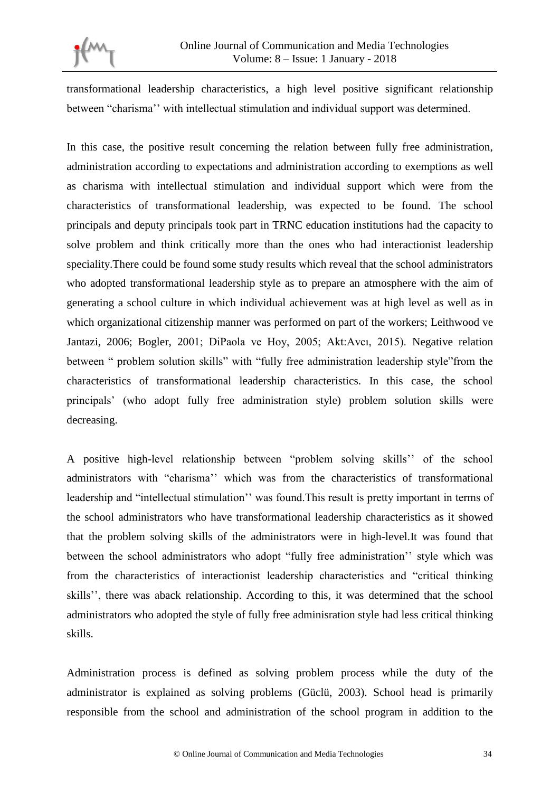

transformational leadership characteristics, a high level positive significant relationship between "charisma'' with intellectual stimulation and individual support was determined.

In this case, the positive result concerning the relation between fully free administration, administration according to expectations and administration according to exemptions as well as charisma with intellectual stimulation and individual support which were from the characteristics of transformational leadership, was expected to be found. The school principals and deputy principals took part in TRNC education institutions had the capacity to solve problem and think critically more than the ones who had interactionist leadership speciality.There could be found some study results which reveal that the school administrators who adopted transformational leadership style as to prepare an atmosphere with the aim of generating a school culture in which individual achievement was at high level as well as in which organizational citizenship manner was performed on part of the workers; Leithwood ve Jantazi, 2006; Bogler, 2001; DiPaola ve Hoy, 2005; Akt:Avcı, 2015). Negative relation between " problem solution skills" with "fully free administration leadership style"from the characteristics of transformational leadership characteristics. In this case, the school principals' (who adopt fully free administration style) problem solution skills were decreasing.

A positive high-level relationship between "problem solving skills'' of the school administrators with "charisma'' which was from the characteristics of transformational leadership and "intellectual stimulation'' was found.This result is pretty important in terms of the school administrators who have transformational leadership characteristics as it showed that the problem solving skills of the administrators were in high-level.It was found that between the school administrators who adopt "fully free administration'' style which was from the characteristics of interactionist leadership characteristics and "critical thinking skills'', there was aback relationship. According to this, it was determined that the school administrators who adopted the style of fully free adminisration style had less critical thinking skills.

Administration process is defined as solving problem process while the duty of the administrator is explained as solving problems (Güclü, 2003). School head is primarily responsible from the school and administration of the school program in addition to the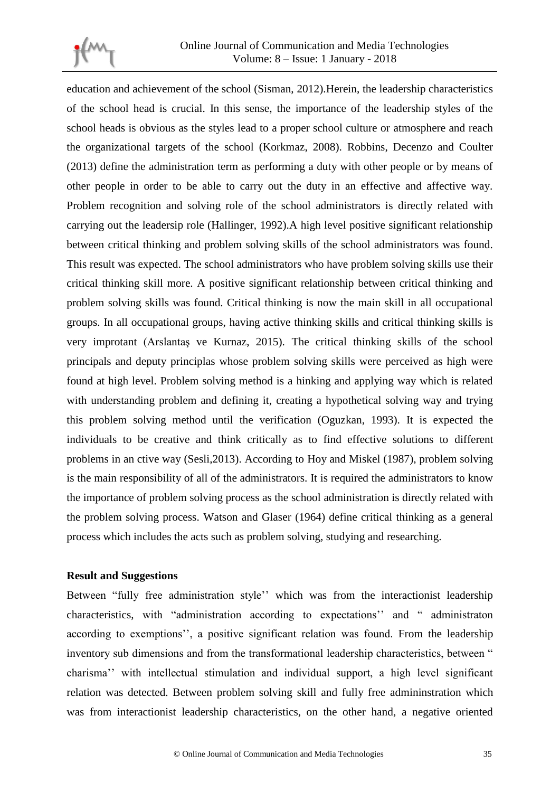

education and achievement of the school (Sisman, 2012).Herein, the leadership characteristics of the school head is crucial. In this sense, the importance of the leadership styles of the school heads is obvious as the styles lead to a proper school culture or atmosphere and reach the organizational targets of the school (Korkmaz, 2008). Robbins, Decenzo and Coulter (2013) define the administration term as performing a duty with other people or by means of other people in order to be able to carry out the duty in an effective and affective way. Problem recognition and solving role of the school administrators is directly related with carrying out the leadersip role (Hallinger, 1992).A high level positive significant relationship between critical thinking and problem solving skills of the school administrators was found. This result was expected. The school administrators who have problem solving skills use their critical thinking skill more. A positive significant relationship between critical thinking and problem solving skills was found. Critical thinking is now the main skill in all occupational groups. In all occupational groups, having active thinking skills and critical thinking skills is very improtant (Arslantaş ve Kurnaz, 2015). The critical thinking skills of the school principals and deputy principlas whose problem solving skills were perceived as high were found at high level. Problem solving method is a hinking and applying way which is related with understanding problem and defining it, creating a hypothetical solving way and trying this problem solving method until the verification (Oguzkan, 1993). It is expected the individuals to be creative and think critically as to find effective solutions to different problems in an ctive way (Sesli,2013). According to Hoy and Miskel (1987), problem solving is the main responsibility of all of the administrators. It is required the administrators to know the importance of problem solving process as the school administration is directly related with the problem solving process. Watson and Glaser (1964) define critical thinking as a general process which includes the acts such as problem solving, studying and researching.

#### **Result and Suggestions**

Between "fully free administration style'' which was from the interactionist leadership characteristics, with "administration according to expectations'' and " administraton according to exemptions'', a positive significant relation was found. From the leadership inventory sub dimensions and from the transformational leadership characteristics, between " charisma'' with intellectual stimulation and individual support, a high level significant relation was detected. Between problem solving skill and fully free admininstration which was from interactionist leadership characteristics, on the other hand, a negative oriented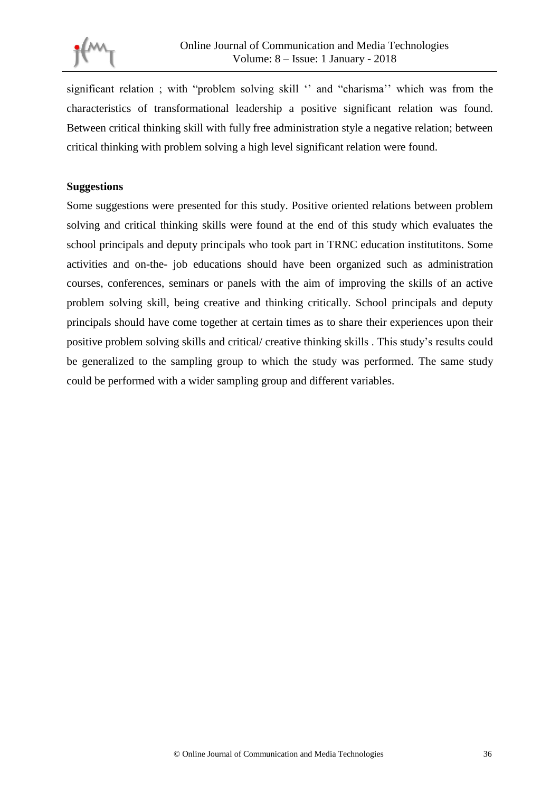

significant relation ; with "problem solving skill " and "charisma" which was from the characteristics of transformational leadership a positive significant relation was found. Between critical thinking skill with fully free administration style a negative relation; between critical thinking with problem solving a high level significant relation were found.

### **Suggestions**

Some suggestions were presented for this study. Positive oriented relations between problem solving and critical thinking skills were found at the end of this study which evaluates the school principals and deputy principals who took part in TRNC education institutitons. Some activities and on-the- job educations should have been organized such as administration courses, conferences, seminars or panels with the aim of improving the skills of an active problem solving skill, being creative and thinking critically. School principals and deputy principals should have come together at certain times as to share their experiences upon their positive problem solving skills and critical/ creative thinking skills . This study's results could be generalized to the sampling group to which the study was performed. The same study could be performed with a wider sampling group and different variables.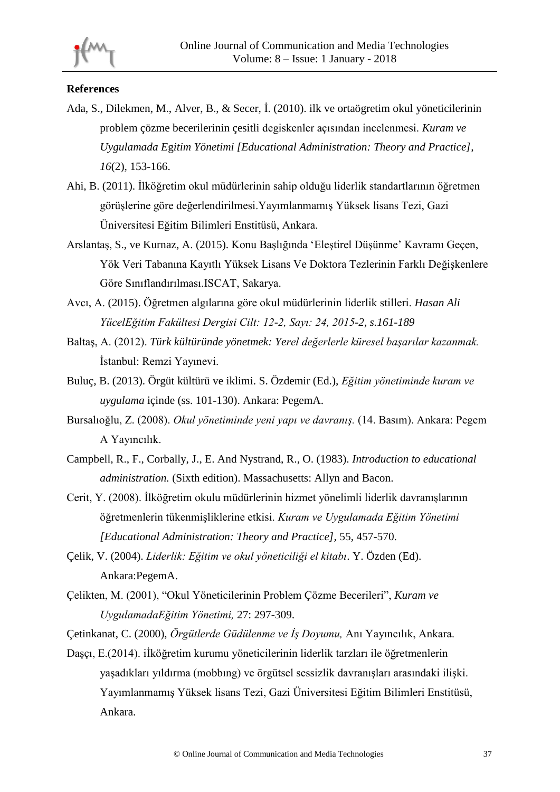

# **References**

- Ada, S., Dilekmen, M., Alver, B., & Secer, İ. (2010). ilk ve ortaögretim okul yöneticilerinin problem çözme becerilerinin çesitli degiskenler açısından incelenmesi. *Kuram ve Uygulamada E*g*itim Yönetimi [Educational Administration: Theory and Practice], 16*(2), 153-166.
- Ahi, B. (2011). İlköğretim okul müdürlerinin sahip olduğu liderlik standartlarının öğretmen görüşlerine göre değerlendirilmesi.Yayımlanmamış Yüksek lisans Tezi, Gazi Üniversitesi Eğitim Bilimleri Enstitüsü, Ankara.
- Arslantaş, S., ve Kurnaz, A. (2015). Konu Başlığında 'Eleştirel Düşünme' Kavramı Geçen, Yök Veri Tabanına Kayıtlı Yüksek Lisans Ve Doktora Tezlerinin Farklı Değişkenlere Göre Sınıflandırılması.ISCAT, Sakarya.
- Avcı, A. (2015). Öğretmen algılarına göre okul müdürlerinin liderlik stilleri. *Hasan Ali YücelEğitim Fakültesi Dergisi Cilt: 12-2, Sayı: 24, 2015-2, s.161-189*
- Baltaş, A. (2012). *Türk kültüründe yönetmek: Yerel değerlerle küresel başarılar kazanmak.*  İstanbul: Remzi Yayınevi.
- Buluç, B. (2013). Örgüt kültürü ve iklimi. S. Özdemir (Ed.), *Eğitim yönetiminde kuram ve uygulama* içinde (ss. 101-130). Ankara: PegemA.
- Bursalıoğlu, Z. (2008). *Okul yönetiminde yeni yapı ve davranış.* (14. Basım). Ankara: Pegem A Yayıncılık.
- Campbell, R., F., Corbally, J., E. And Nystrand, R., O. (1983). *Introduction to educational administration.* (Sixth edition). Massachusetts: Allyn and Bacon.
- Cerit, Y. (2008). İlköğretim okulu müdürlerinin hizmet yönelimli liderlik davranışlarının öğretmenlerin tükenmişliklerine etkisi. *Kuram ve Uygulamada Eğitim Yönetimi [Educational Administration: Theory and Practice],* 55, 457-570.
- Çelik, V. (2004). *Liderlik: Eğitim ve okul yöneticiliği el kitabı*. Y. Özden (Ed). Ankara:PegemA.
- Çelikten, M. (2001), "Okul Yöneticilerinin Problem Çözme Becerileri", *Kuram ve UygulamadaEğitim Yönetimi,* 27: 297-309.
- Çetinkanat, C. (2000), *Örgütlerde Güdülenme ve İş Doyumu,* Anı Yayıncılık, Ankara.
- Daşçı, E.(2014). iİköğretim kurumu yöneticilerinin liderlik tarzları ile öğretmenlerin yaşadıkları yıldırma (mobbıng) ve örgütsel sessizlik davranışları arasındaki ilişki. Yayımlanmamış Yüksek lisans Tezi, Gazi Üniversitesi Eğitim Bilimleri Enstitüsü, Ankara.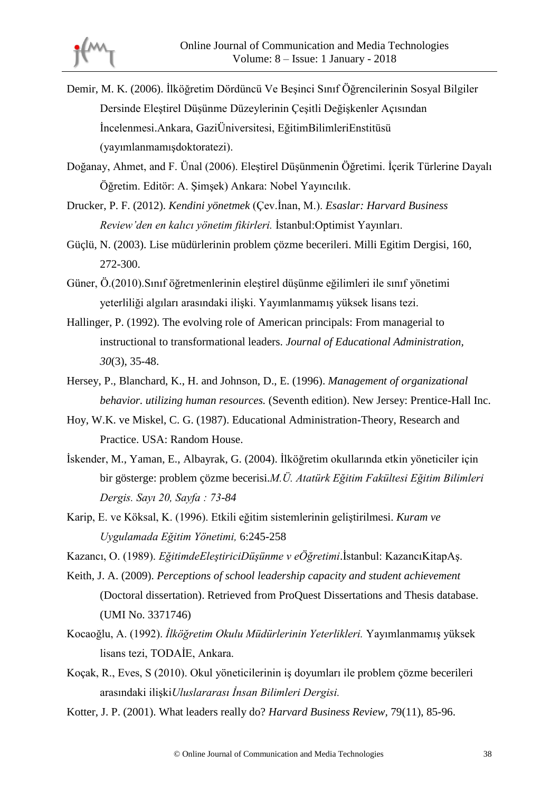- Demir, M. K. (2006). İlköğretim Dördüncü Ve Beşinci Sınıf Öğrencilerinin Sosyal Bilgiler Dersinde Eleştirel Düşünme Düzeylerinin Çeşitli Değişkenler Açısından İncelenmesi.Ankara, GaziÜniversitesi, EğitimBilimleriEnstitüsü (yayımlanmamışdoktoratezi).
- Doğanay, Ahmet, and F. Ünal (2006). Eleştirel Düşünmenin Öğretimi. İçerik Türlerine Dayalı Öğretim. Editör: A. Şimşek) Ankara: Nobel Yayıncılık.
- Drucker, P. F. (2012). *Kendini yönetmek* (Çev.İnan, M.). *Esaslar: Harvard Business Review'den en kalıcı yönetim fikirleri.* İstanbul:Optimist Yayınları.
- Güçlü, N. (2003). Lise müdürlerinin problem çözme becerileri. Milli Egitim Dergisi, 160, 272-300.
- Güner, Ö.(2010).Sınıf öğretmenlerinin eleştirel düşünme eğilimleri ile sınıf yönetimi yeterliliği algıları arasındaki ilişki. Yayımlanmamış yüksek lisans tezi.
- Hallinger, P. (1992). The evolving role of American principals: From managerial to instructional to transformational leaders. *Journal of Educational Administration, 30*(3), 35-48.
- Hersey, P., Blanchard, K., H. and Johnson, D., E. (1996). *Management of organizational behavior. utilizing human resources.* (Seventh edition). New Jersey: Prentice-Hall Inc.
- Hoy, W.K. ve Miskel, C. G. (1987). Educational Administration-Theory, Research and Practice. USA: Random House.
- İskender, M., Yaman, E., Albayrak, G. (2004). İlköğretim okullarında etkin yöneticiler için bir gösterge: problem çözme becerisi.*M.Ü. Atatürk Eğitim Fakültesi Eğitim Bilimleri Dergis. Sayı 20, Sayfa : 73-84*
- Karip, E. ve Köksal, K. (1996). Etkili eğitim sistemlerinin geliştirilmesi. *Kuram ve Uygulamada Eğitim Yönetimi,* 6:245-258

Kazancı, O. (1989). *EğitimdeEleştiriciDüşünme v eÖğretimi*.İstanbul: KazancıKitapAş.

- Keith, J. A. (2009). *Perceptions of school leadership capacity and student achievement*  (Doctoral dissertation). Retrieved from ProQuest Dissertations and Thesis database. (UMI No. 3371746)
- Kocaoğlu, A. (1992). *İlköğretim Okulu Müdürlerinin Yeterlikleri.* Yayımlanmamış yüksek lisans tezi, TODAİE, Ankara.
- Koçak, R., Eves, S (2010). Okul yöneticilerinin iş doyumları ile problem çözme becerileri arasındaki ilişki*Uluslararası İnsan Bilimleri Dergisi.*
- Kotter, J. P. (2001). What leaders really do? *Harvard Business Review,* 79(11), 85-96.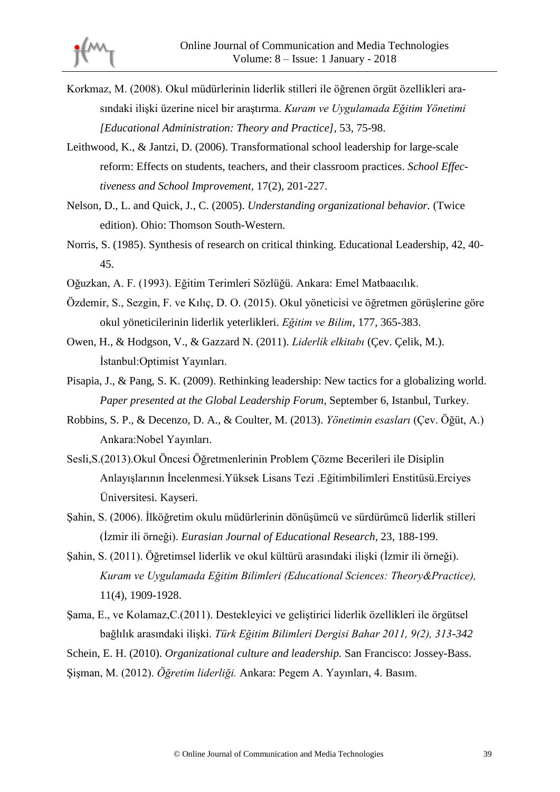- Korkmaz, M. (2008). Okul müdürlerinin liderlik stilleri ile öğrenen örgüt özellikleri arasındaki ilişki üzerine nicel bir araştırma. *Kuram ve Uygulamada Eğitim Yönetimi [Educational Administration: Theory and Practice],* 53, 75-98.
- Leithwood, K., & Jantzi, D. (2006). Transformational school leadership for large-scale reform: Effects on students, teachers, and their classroom practices. *School Effectiveness and School Improvement,* 17(2), 201-227.
- Nelson, D., L. and Quick, J., C. (2005). *Understanding organizational behavior.* (Twice edition). Ohio: Thomson South-Western.
- Norris, S. (1985). Synthesis of research on critical thinking. Educational Leadership, 42, 40- 45.
- Oğuzkan, A. F. (1993). Eğitim Terimleri Sözlüğü. Ankara: Emel Matbaacılık.
- Özdemir, S., Sezgin, F. ve Kılıç, D. O. (2015). Okul yöneticisi ve öğretmen görüşlerine göre okul yöneticilerinin liderlik yeterlikleri. *Eğitim ve Bilim*, 177, 365-383.
- Owen, H., & Hodgson, V., & Gazzard N. (2011). *Liderlik elkitabı* (Çev. Çelik, M.). İstanbul:Optimist Yayınları.
- Pisapia, J., & Pang, S. K. (2009). Rethinking leadership: New tactics for a globalizing world. *Paper presented at the Global Leadership Forum*, September 6, Istanbul, Turkey.
- Robbins, S. P., & Decenzo, D. A., & Coulter, M. (2013). *Yönetimin esasları* (Çev. Öğüt, A.) Ankara:Nobel Yayınları.
- Sesli,S.(2013).Okul Öncesi Öğretmenlerinin Problem Çözme Becerileri ile Disiplin Anlayışlarının İncelenmesi.Yüksek Lisans Tezi .Eğitimbilimleri Enstitüsü.Erciyes Üniversitesi. Kayseri.
- Şahin, S. (2006). İlköğretim okulu müdürlerinin dönüşümcü ve sürdürümcü liderlik stilleri (İzmir ili örneği). *Eurasian Journal of Educational Research,* 23, 188-199.
- Şahin, S. (2011). Öğretimsel liderlik ve okul kültürü arasındaki ilişki (İzmir ili örneği). *Kuram ve Uygulamada Eğitim Bilimleri (Educational Sciences: Theory&Practice),*  11(4), 1909-1928.
- Şama, E., ve Kolamaz,C.(2011). Destekleyici ve geliştirici liderlik özellikleri ile örgütsel bağlılık arasındaki ilişki. *Türk Eğitim Bilimleri Dergisi Bahar 2011, 9(2), 313-342*
- Schein, E. H. (2010). *Organizational culture and leadership.* San Francisco: Jossey-Bass.

Şişman, M. (2012). *Öğretim liderliği.* Ankara: Pegem A. Yayınları, 4. Basım.